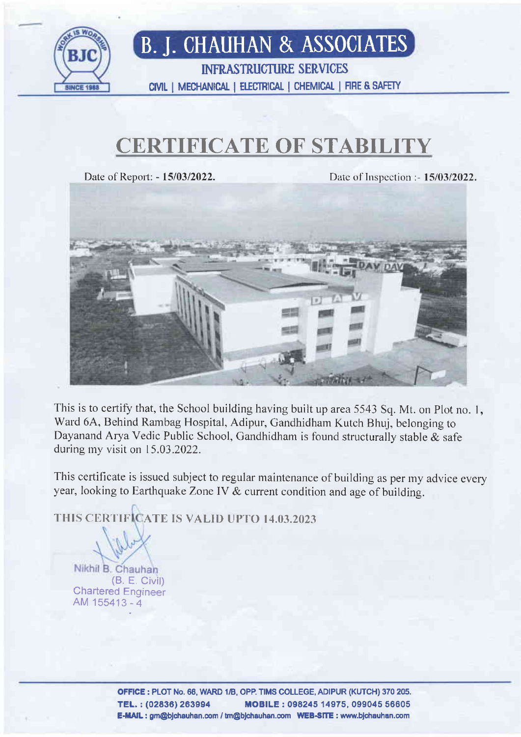

## B. J. CHAUHAN & ASS0CIATES

**INFRASTRUCTURE SERVICES** CIVIL I MECHANICAL | ELECTRICAL | CHEMICAL | FIRE & SAFETY

### CERTIFICATE OF STABILITY

Date of Report: - 15/03/2022. Date of Inspection :- 15/03/2022.



This is to certify that, the School building having built up area 5543 Sq. Mt. on Plot no. 1, Ward 6A, Behind Rambag Hospital, Adipur, Gandhidham Kutch Bhuj, belonging to Dayanand Arya Vedic Public School, Gandhidham is found structurally stable & safe during my visit on 15.03.2022.

This certificate is issued subject to regular maintenance of building as per my advice every year, looking to Earthquake Zone lY & current condition and age of building.

THIS CERTIFICATE IS VALID UPTO 14.03.2023

Nikhil B. Chauhan (8. E. Civil) Chartered Engineer AM 155413 - 4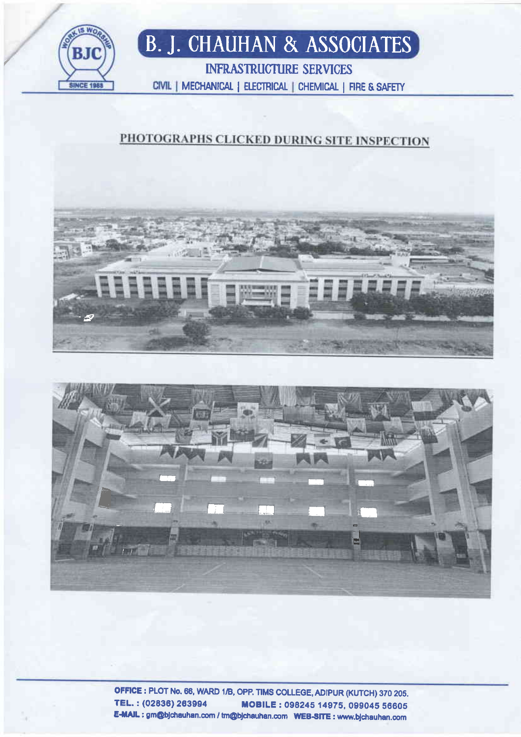

# **B. J. CHAUHAN & ASSOCIATES**

**INFRASTRUCTURE SERVICES** CIVIL | MECHANICAL | ELECTRICAL | CHEMICAL | FIRE & SAFETY

#### PHOTOGRAPHS CLICKED DURING SITE INSPECTION





OFFICE: PLOT No. 66, WARD 1/B, OPP. TIMS COLLEGE, ADIPUR (KUTCH) 370 205. TEL.: (02836) 263994 MOBILE: 098245 14975, 099045 56605 E-MAIL: gm@bjchauhan.com / tm@bjchauhan.com WEB-SITE: www.bjchauhan.com